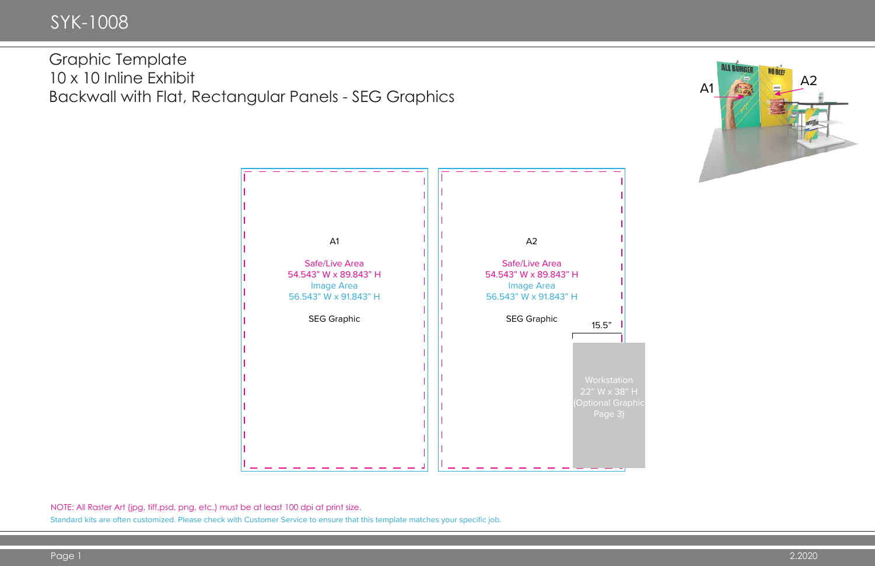

NOTE: All Raster Art (jpg, tiff,psd, png, etc.) must be at least 100 dpi at print size.



Standard kits are often customized. Please check with Customer Service to ensure that this template matches your specific job.

## Graphic Template 10 x 10 Inline Exhibit Backwall with Flat, Rectangular Panels - SEG Graphics

# SYK-1008

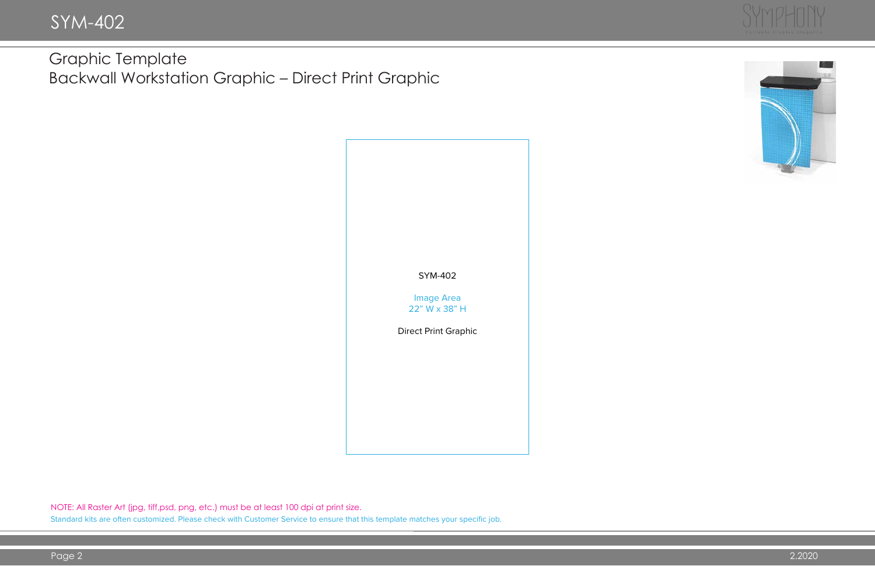

NOTE: All Raster Art (jpg, tiff,psd, png, etc.) must be at least 100 dpi at print size. Standard kits are often customized. Please check with Customer Service to ensure that this template matches your specific job.





## Graphic Template Backwall Workstation Graphic – Direct Print Graphic

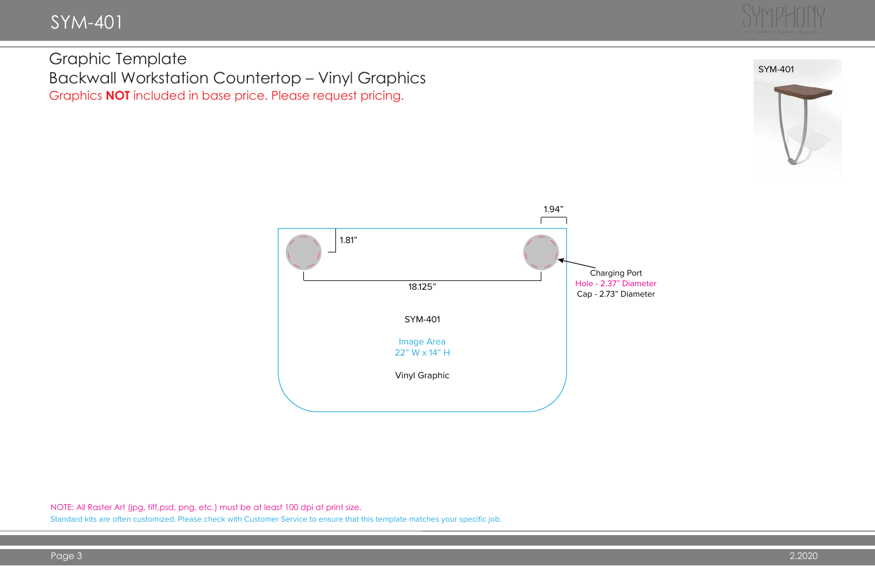# SYM-401

#### Graphic Template Backwall Workstation Countertop – Vinyl Graphics Graphics **NOT** included in base price. Please request pricing.





NOTE: All Raster Art (jpg, tiff,psd, png, etc.) must be at least 100 dpi at print size.



Standard kits are often customized. Please check with Customer Service to ensure that this template matches your specific job.